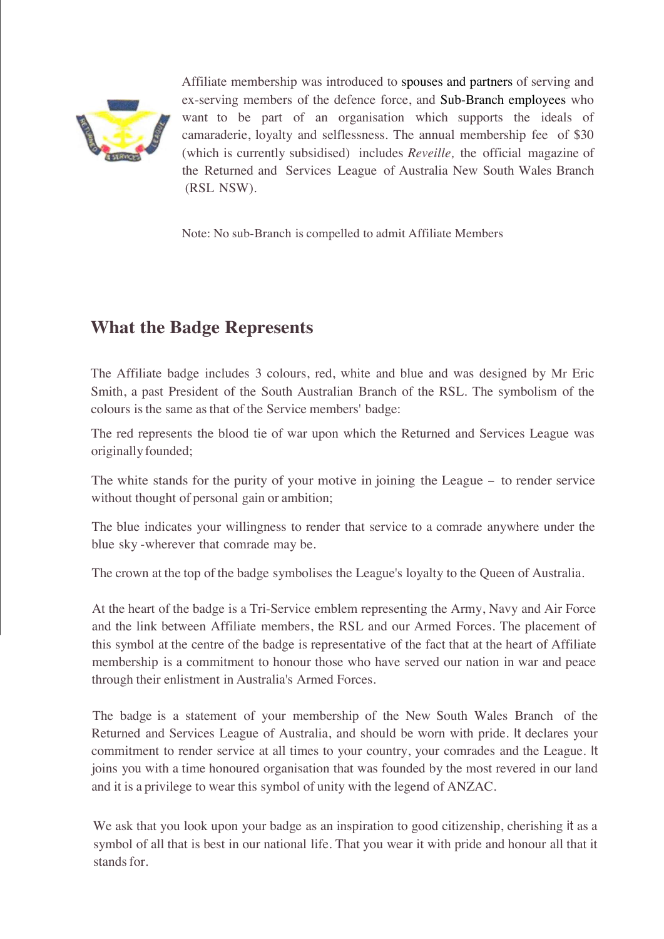

Affiliate membership was introduced to spouses and partners of serving and ex-serving members of the defence force, and Sub-Branch employees who want to be part of an organisation which supports the ideals of camaraderie, loyalty and selflessness. The annual membership fee of \$30 (which is currently subsidised) includes *Reveille,* the official magazine of the Returned and Services League of Australia New South Wales Branch (RSL NSW).

Note: No sub-Branch is compelled to admit Affiliate Members

## **What the Badge Represents**

The Affiliate badge includes 3 colours, red, white and blue and was designed by Mr Eric Smith, a past President of the South Australian Branch of the RSL. The symbolism of the colours is the same as that of the Service members' badge:

The red represents the blood tie of war upon which the Returned and Services League was originally founded;

The white stands for the purity of your motive in joining the League - to render service without thought of personal gain or ambition;

The blue indicates your willingness to render that service to a comrade anywhere under the blue sky -wherever that comrade may be.

The crown at the top of the badge symbolises the League's loyalty to the Queen of Australia.

At the heart of the badge is a Tri-Service emblem representing the Army, Navy and Air Force and the link between Affiliate members, the RSL and our Armed Forces. The placement of this symbol at the centre of the badge is representative of the fact that at the heart of Affiliate membership is a commitment to honour those who have served our nation in war and peace through their enlistment in Australia's Armed Forces.

The badge is a statement of your membership of the New South Wales Branch of the Returned and Services League of Australia, and should be worn with pride. It declares your commitment to render service at all times to your country, your comrades and the League. It joins you with a time honoured organisation that was founded by the most revered in our land and it is a privilege to wear this symbol of unity with the legend of ANZAC.

We ask that you look upon your badge as an inspiration to good citizenship, cherishing it as a symbol of all that is best in our national life. That you wear it with pride and honour all that it stands for.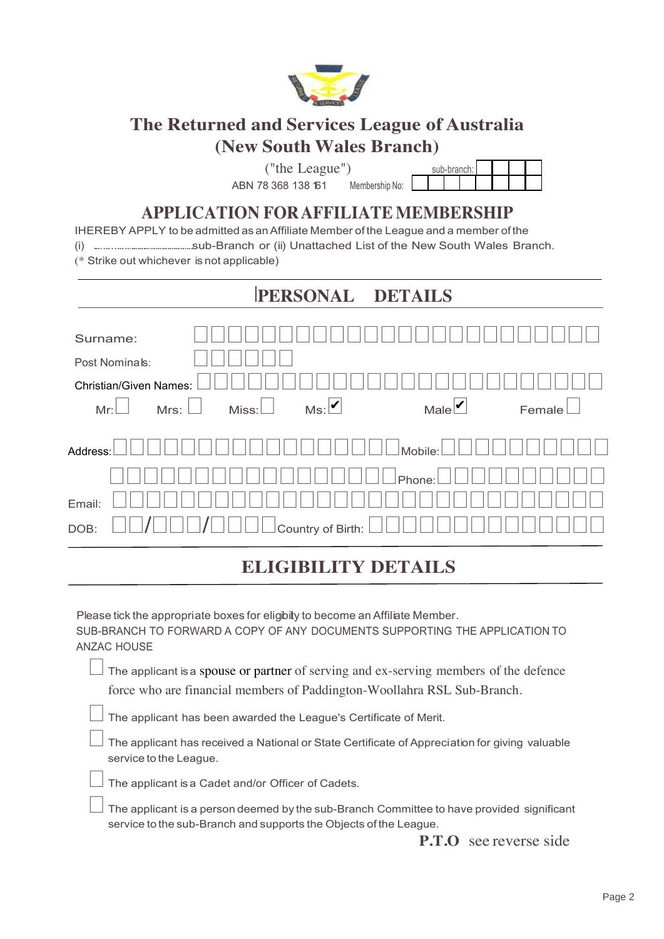

# **The Returned and Services League of Australia (New South Wales Branch)**

("the League")

ABN 78 368 138 161 Membership No:

|  | sub-branch: I |  |  |
|--|---------------|--|--|
|  |               |  |  |

## **APPLICATION FOR AFFILIATE MEMBERSHIP**

| IHEREBY APPLY to be admitted as an Affiliate Member of the League and a member of the |  |
|---------------------------------------------------------------------------------------|--|
|                                                                                       |  |
| (* Strike out whichever is not applicable)                                            |  |

|                               |                       | PERSONAL DETAILS    |             |        |
|-------------------------------|-----------------------|---------------------|-------------|--------|
| Surname:                      |                       |                     |             |        |
| Post Nominals:                |                       |                     |             |        |
| <b>Christian/Given Names:</b> |                       |                     |             |        |
| Mr:                           | Mrs: $\Box$<br>Miss:L | Ms: V               | Male $\vee$ | Female |
| Address:                      |                       |                     | Mobile:     |        |
|                               |                       |                     | Phone:      |        |
| Email:                        |                       |                     |             |        |
| DOB:                          |                       | Country of Birth: I |             |        |

### Ī **ELIGIBILITY DETAILS**

Please tick the appropriate boxes for eligibity to become an Affiliate Member. SUB-BRANCH TO FORWARD A COPY OF ANY DOCUMENTS SUPPORTING THE APPLICATION TO ANZAC HOUSE

The applicant is a spouse or partner of serving and ex-serving members of the defence force who are financial members of Paddington-Woollahra RSL Sub-Branch.

The applicant has been awarded the League's Certificate of Merit.

The applicant has received a National or State Certificate of Appreciation for giving valuable service to the League.

The applicant is a Cadet and/or Officer of Cadets.

The applicant is a person deemed by the sub-Branch Committee to have provided significant service to the sub-Branch and supports the Objects of the League.

**P.T.O** see reverse side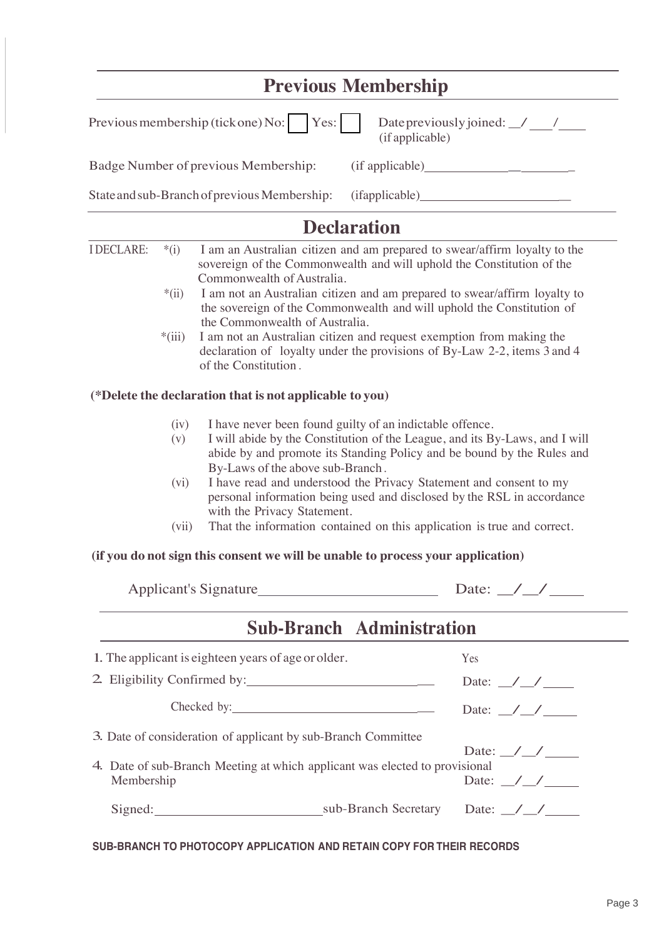|                                                         | <b>Previous Membership</b>                     |
|---------------------------------------------------------|------------------------------------------------|
| Previous membership (tick one) No: $\vert$ Yes: $\vert$ | Date previously joined: / /<br>(if applicable) |
| Badge Number of previous Membership:                    |                                                |
| State and sub-Branch of previous Membership:            | (ifappliedbe)                                  |
|                                                         |                                                |

|            | $*(i)$      | I am an Australian citizen and am prepared to swear/affirm loyalty to the<br>sovereign of the Commonwealth and will uphold the Constitution of the                                                                                                    |                           |
|------------|-------------|-------------------------------------------------------------------------------------------------------------------------------------------------------------------------------------------------------------------------------------------------------|---------------------------|
|            | $*(ii)$     | Commonwealth of Australia.<br>I am not an Australian citizen and am prepared to swear/affirm loyalty to<br>the sovereign of the Commonwealth and will uphold the Constitution of<br>the Commonwealth of Australia.                                    |                           |
|            | $*(iii)$    | I am not an Australian citizen and request exemption from making the<br>declaration of loyalty under the provisions of By-Law 2-2, items 3 and 4<br>of the Constitution.                                                                              |                           |
|            |             | (*Delete the declaration that is not applicable to you)                                                                                                                                                                                               |                           |
|            | (iv)<br>(v) | I have never been found guilty of an indictable offence.<br>I will abide by the Constitution of the League, and its By-Laws, and I will<br>abide by and promote its Standing Policy and be bound by the Rules and<br>By-Laws of the above sub-Branch. |                           |
|            | (vi)        | I have read and understood the Privacy Statement and consent to my<br>personal information being used and disclosed by the RSL in accordance<br>with the Privacy Statement.                                                                           |                           |
|            | (vii)       | That the information contained on this application is true and correct.                                                                                                                                                                               |                           |
|            |             |                                                                                                                                                                                                                                                       |                           |
|            |             | (if you do not sign this consent we will be unable to process your application)                                                                                                                                                                       |                           |
|            |             |                                                                                                                                                                                                                                                       |                           |
|            |             | <b>Sub-Branch Administration</b>                                                                                                                                                                                                                      |                           |
|            |             | 1. The applicant is eighteen years of age or older.                                                                                                                                                                                                   | Yes                       |
|            |             |                                                                                                                                                                                                                                                       | Date: $\angle$ / $\angle$ |
|            |             | Checked by:                                                                                                                                                                                                                                           | Date: $\angle$ / $\angle$ |
|            |             | 3. Date of consideration of applicant by sub-Branch Committee                                                                                                                                                                                         | Date: $\angle$ / $\angle$ |
| Membership |             | 4. Date of sub-Branch Meeting at which applicant was elected to provisional                                                                                                                                                                           | Date: $\angle$            |

#### **SUB-BRANCH TO PHOTOCOPY APPLICATION AND RETAIN COPY FOR THEIR RECORDS**